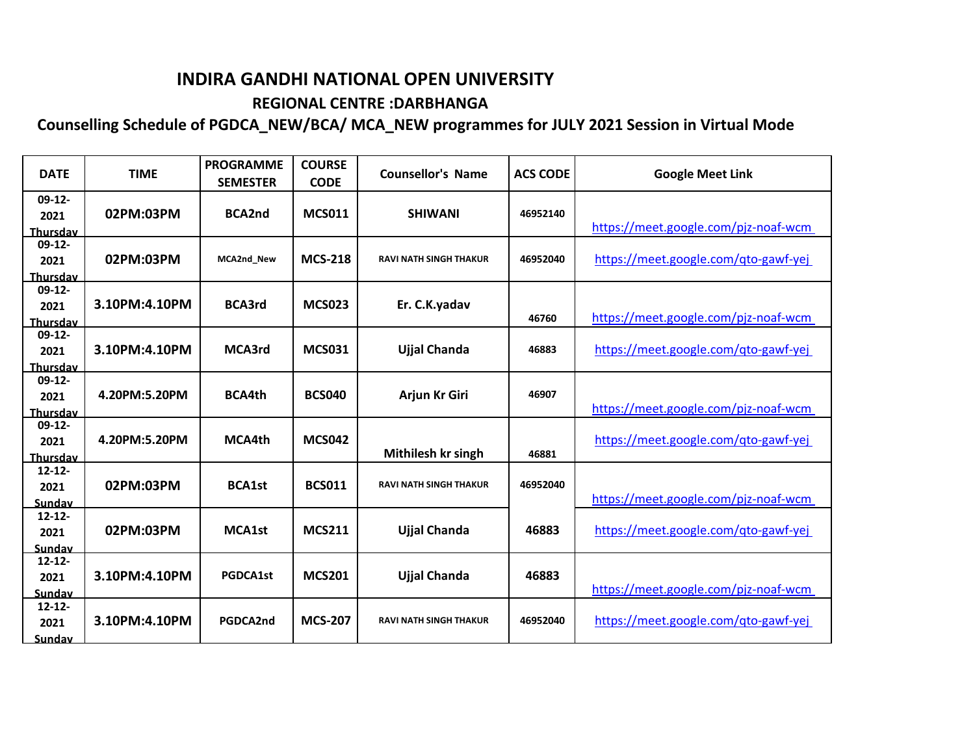## **INDIRA GANDHI NATIONAL OPEN UNIVERSITY REGIONAL CENTRE :DARBHANGA**

## **Counselling Schedule of PGDCA\_NEW/BCA/ MCA\_NEW programmes for JULY 2021 Session in Virtual Mode**

| <b>DATE</b>                         | <b>TIME</b>   | <b>PROGRAMME</b><br><b>SEMESTER</b> | <b>COURSE</b><br><b>CODE</b> | <b>Counsellor's Name</b>      | <b>ACS CODE</b> | <b>Google Meet Link</b>              |
|-------------------------------------|---------------|-------------------------------------|------------------------------|-------------------------------|-----------------|--------------------------------------|
| $09-12-$<br>2021<br><b>Thursday</b> | 02PM:03PM     | <b>BCA2nd</b>                       | <b>MCS011</b>                | <b>SHIWANI</b>                | 46952140        | https://meet.google.com/pjz-noaf-wcm |
| $09-12-$<br>2021<br><b>Thursday</b> | 02PM:03PM     | <b>MCA2nd New</b>                   | <b>MCS-218</b>               | <b>RAVI NATH SINGH THAKUR</b> | 46952040        | https://meet.google.com/qto-gawf-yej |
| $09-12-$<br>2021<br><b>Thursday</b> | 3.10PM:4.10PM | <b>BCA3rd</b>                       | <b>MCS023</b>                | Er. C.K.yadav                 | 46760           | https://meet.google.com/pjz-noaf-wcm |
| $09-12-$<br>2021<br>Thursdav        | 3.10PM:4.10PM | MCA3rd                              | <b>MCS031</b>                | Ujjal Chanda                  | 46883           | https://meet.google.com/qto-gawf-yej |
| $09-12-$<br>2021<br>Thursdav        | 4.20PM:5.20PM | <b>BCA4th</b>                       | <b>BCS040</b>                | Arjun Kr Giri                 | 46907           | https://meet.google.com/pjz-noaf-wcm |
| $09-12-$<br>2021<br>Thursdav        | 4.20PM:5.20PM | MCA4th                              | <b>MCS042</b>                | Mithilesh kr singh            | 46881           | https://meet.google.com/qto-gawf-yej |
| $12 - 12 -$<br>2021<br>Sundav       | 02PM:03PM     | <b>BCA1st</b>                       | <b>BCS011</b>                | <b>RAVI NATH SINGH THAKUR</b> | 46952040        | https://meet.google.com/pjz-noaf-wcm |
| $12 - 12 -$<br>2021<br>Sundav       | 02PM:03PM     | <b>MCA1st</b>                       | <b>MCS211</b>                | <b>Ujjal Chanda</b>           | 46883           | https://meet.google.com/qto-gawf-yej |
| $12 - 12 -$<br>2021<br>Sundav       | 3.10PM:4.10PM | <b>PGDCA1st</b>                     | <b>MCS201</b>                | <b>Ujjal Chanda</b>           | 46883           | https://meet.google.com/pjz-noaf-wcm |
| $12 - 12 -$<br>2021<br>Sundav       | 3.10PM:4.10PM | PGDCA2nd                            | <b>MCS-207</b>               | <b>RAVI NATH SINGH THAKUR</b> | 46952040        | https://meet.google.com/qto-gawf-yej |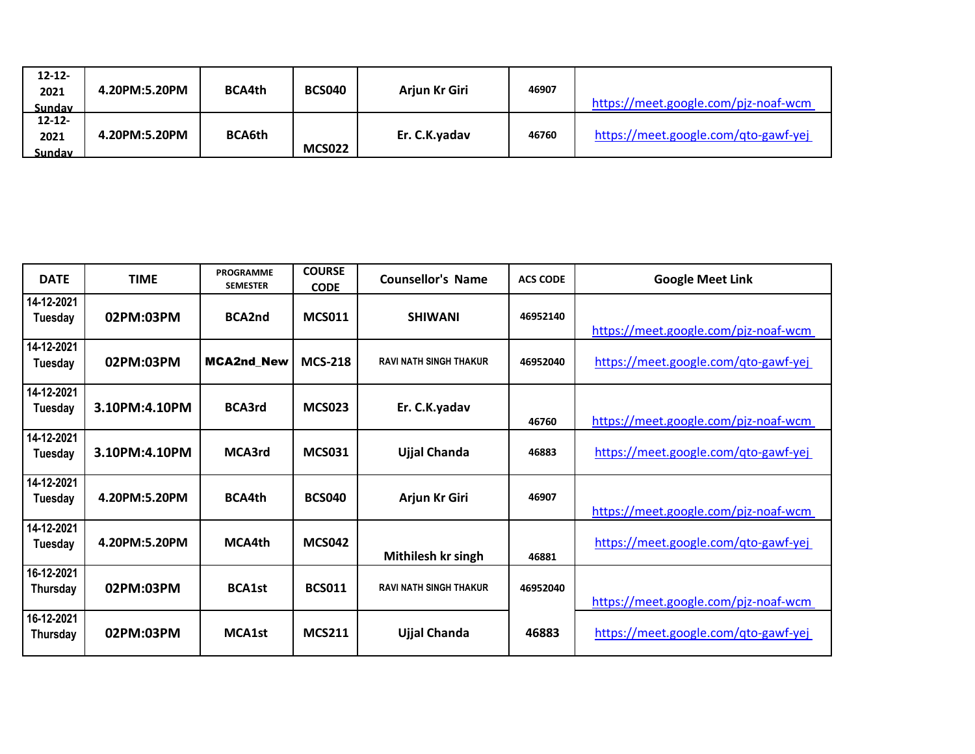| $12 - 12 -$<br>2021<br>Sunday | 4.20PM:5.20PM | <b>BCA4th</b> | <b>BCS040</b> | Arjun Kr Giri | 46907 | https://meet.google.com/pjz-noaf-wcm |
|-------------------------------|---------------|---------------|---------------|---------------|-------|--------------------------------------|
| $12 - 12 -$<br>2021<br>Sundav | 4.20PM:5.20PM | <b>BCA6th</b> | <b>MCS022</b> | Er. C.K.yadav | 46760 | https://meet.google.com/qto-gawf-yej |

| <b>DATE</b>            | <b>TIME</b>   | <b>PROGRAMME</b><br><b>SEMESTER</b> | <b>COURSE</b><br><b>CODE</b> | <b>Counsellor's Name</b>      | <b>ACS CODE</b> | <b>Google Meet Link</b>              |
|------------------------|---------------|-------------------------------------|------------------------------|-------------------------------|-----------------|--------------------------------------|
| 14-12-2021<br>Tuesday  | 02PM:03PM     | <b>BCA2nd</b>                       | <b>MCS011</b>                | <b>SHIWANI</b>                | 46952140        | https://meet.google.com/pjz-noaf-wcm |
| 14-12-2021<br>Tuesday  | 02PM:03PM     | <b>MCA2nd New</b>                   | <b>MCS-218</b>               | <b>RAVI NATH SINGH THAKUR</b> | 46952040        | https://meet.google.com/qto-gawf-yej |
| 14-12-2021<br>Tuesday  | 3.10PM:4.10PM | <b>BCA3rd</b>                       | <b>MCS023</b>                | Er. C.K.yadav                 | 46760           | https://meet.google.com/pjz-noaf-wcm |
| 14-12-2021<br>Tuesday  | 3.10PM:4.10PM | MCA3rd                              | <b>MCS031</b>                | Ujjal Chanda                  | 46883           | https://meet.google.com/qto-gawf-yej |
| 14-12-2021<br>Tuesday  | 4.20PM:5.20PM | <b>BCA4th</b>                       | <b>BCS040</b>                | Arjun Kr Giri                 | 46907           | https://meet.google.com/pjz-noaf-wcm |
| 14-12-2021<br>Tuesday  | 4.20PM:5.20PM | MCA4th                              | <b>MCS042</b>                | Mithilesh kr singh            | 46881           | https://meet.google.com/qto-gawf-yej |
| 16-12-2021<br>Thursday | 02PM:03PM     | <b>BCA1st</b>                       | <b>BCS011</b>                | <b>RAVI NATH SINGH THAKUR</b> | 46952040        | https://meet.google.com/pjz-noaf-wcm |
| 16-12-2021<br>Thursday | 02PM:03PM     | <b>MCA1st</b>                       | <b>MCS211</b>                | Ujjal Chanda                  | 46883           | https://meet.google.com/qto-gawf-yej |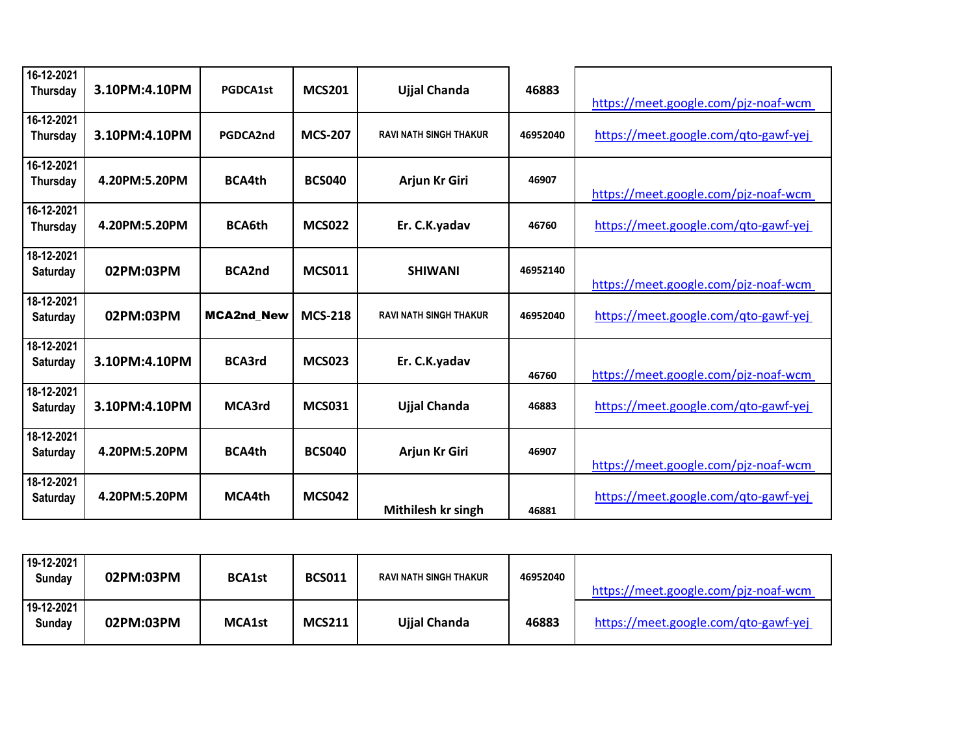| 16-12-2021<br><b>Thursday</b> | 3.10PM:4.10PM | <b>PGDCA1st</b>   | <b>MCS201</b>  | <b>Ujjal Chanda</b>           | 46883    | https://meet.google.com/pjz-noaf-wcm |
|-------------------------------|---------------|-------------------|----------------|-------------------------------|----------|--------------------------------------|
| 16-12-2021<br>Thursday        | 3.10PM:4.10PM | PGDCA2nd          | <b>MCS-207</b> | <b>RAVI NATH SINGH THAKUR</b> | 46952040 | https://meet.google.com/gto-gawf-yej |
| 16-12-2021<br><b>Thursday</b> | 4.20PM:5.20PM | <b>BCA4th</b>     | <b>BCS040</b>  | Arjun Kr Giri                 | 46907    | https://meet.google.com/pjz-noaf-wcm |
| 16-12-2021<br><b>Thursday</b> | 4.20PM:5.20PM | <b>BCA6th</b>     | <b>MCS022</b>  | Er. C.K.yadav                 | 46760    | https://meet.google.com/qto-gawf-yej |
| 18-12-2021<br>Saturday        | 02PM:03PM     | <b>BCA2nd</b>     | <b>MCS011</b>  | <b>SHIWANI</b>                | 46952140 | https://meet.google.com/pjz-noaf-wcm |
| 18-12-2021<br>Saturday        | 02PM:03PM     | <b>MCA2nd New</b> | <b>MCS-218</b> | <b>RAVI NATH SINGH THAKUR</b> | 46952040 | https://meet.google.com/qto-gawf-yej |
| 18-12-2021<br><b>Saturday</b> | 3.10PM:4.10PM | <b>BCA3rd</b>     | <b>MCS023</b>  | Er. C.K.yadav                 | 46760    | https://meet.google.com/pjz-noaf-wcm |
| 18-12-2021<br>Saturday        | 3.10PM:4.10PM | MCA3rd            | <b>MCS031</b>  | <b>Ujjal Chanda</b>           | 46883    | https://meet.google.com/qto-gawf-yej |
| 18-12-2021<br>Saturday        | 4.20PM:5.20PM | <b>BCA4th</b>     | <b>BCS040</b>  | Arjun Kr Giri                 | 46907    | https://meet.google.com/pjz-noaf-wcm |
| 18-12-2021<br>Saturday        | 4.20PM:5.20PM | MCA4th            | <b>MCS042</b>  | Mithilesh kr singh            | 46881    | https://meet.google.com/qto-gawf-yej |

| 19-12-2021<br>Sunday | 02PM:03PM | <b>BCA1st</b> | <b>BCS011</b> | RAVI NATH SINGH THAKUR | 46952040 | https://meet.google.com/pjz-noaf-wcm |
|----------------------|-----------|---------------|---------------|------------------------|----------|--------------------------------------|
| 19-12-2021<br>Sunday | 02PM:03PM | <b>MCA1st</b> | <b>MCS211</b> | Ujjal Chanda           | 46883    | https://meet.google.com/qto-gawf-yej |